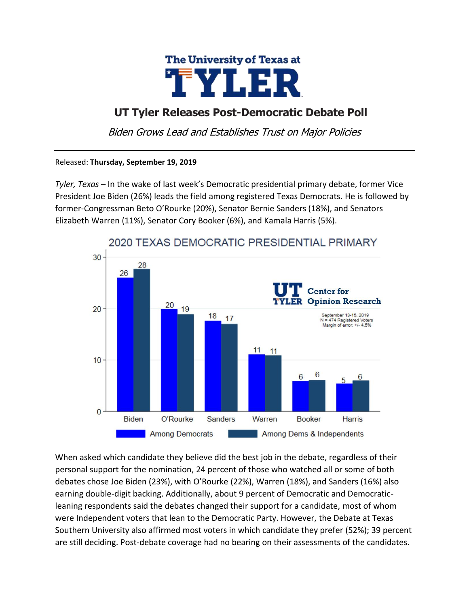

## **UT Tyler Releases Post-Democratic Debate Poll**

Biden Grows Lead and Establishes Trust on Major Policies

## Released: **Thursday, September 19, 2019**

*Tyler, Texas* – In the wake of last week's Democratic presidential primary debate, former Vice President Joe Biden (26%) leads the field among registered Texas Democrats. He is followed by former-Congressman Beto O'Rourke (20%), Senator Bernie Sanders (18%), and Senators Elizabeth Warren (11%), Senator Cory Booker (6%), and Kamala Harris (5%).



When asked which candidate they believe did the best job in the debate, regardless of their personal support for the nomination, 24 percent of those who watched all or some of both debates chose Joe Biden (23%), with O'Rourke (22%), Warren (18%), and Sanders (16%) also earning double-digit backing. Additionally, about 9 percent of Democratic and Democraticleaning respondents said the debates changed their support for a candidate, most of whom were Independent voters that lean to the Democratic Party. However, the Debate at Texas Southern University also affirmed most voters in which candidate they prefer (52%); 39 percent are still deciding. Post-debate coverage had no bearing on their assessments of the candidates.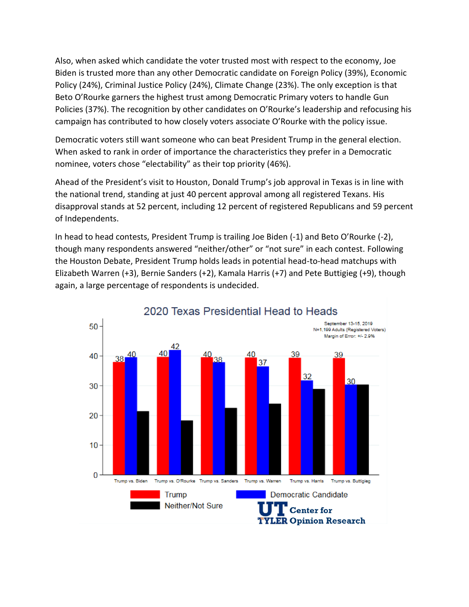Also, when asked which candidate the voter trusted most with respect to the economy, Joe Biden is trusted more than any other Democratic candidate on Foreign Policy (39%), Economic Policy (24%), Criminal Justice Policy (24%), Climate Change (23%). The only exception is that Beto O'Rourke garners the highest trust among Democratic Primary voters to handle Gun Policies (37%). The recognition by other candidates on O'Rourke's leadership and refocusing his campaign has contributed to how closely voters associate O'Rourke with the policy issue.

Democratic voters still want someone who can beat President Trump in the general election. When asked to rank in order of importance the characteristics they prefer in a Democratic nominee, voters chose "electability" as their top priority (46%).

Ahead of the President's visit to Houston, Donald Trump's job approval in Texas is in line with the national trend, standing at just 40 percent approval among all registered Texans. His disapproval stands at 52 percent, including 12 percent of registered Republicans and 59 percent of Independents.

In head to head contests, President Trump is trailing Joe Biden (-1) and Beto O'Rourke (-2), though many respondents answered "neither/other" or "not sure" in each contest. Following the Houston Debate, President Trump holds leads in potential head-to-head matchups with Elizabeth Warren (+3), Bernie Sanders (+2), Kamala Harris (+7) and Pete Buttigieg (+9), though again, a large percentage of respondents is undecided.

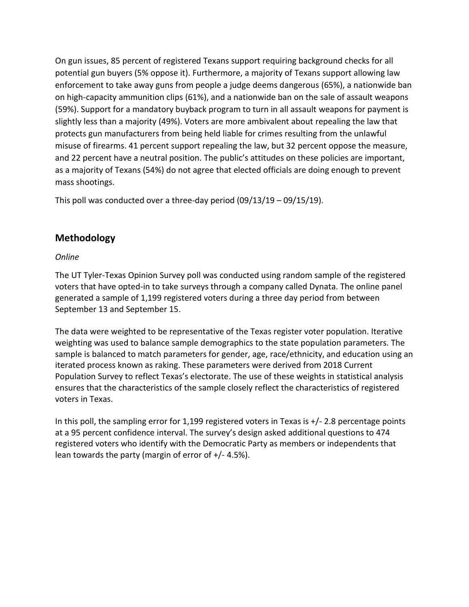On gun issues, 85 percent of registered Texans support requiring background checks for all potential gun buyers (5% oppose it). Furthermore, a majority of Texans support allowing law enforcement to take away guns from people a judge deems dangerous (65%), a nationwide ban on high-capacity ammunition clips (61%), and a nationwide ban on the sale of assault weapons (59%). Support for a mandatory buyback program to turn in all assault weapons for payment is slightly less than a majority (49%). Voters are more ambivalent about repealing the law that protects gun manufacturers from being held liable for crimes resulting from the unlawful misuse of firearms. 41 percent support repealing the law, but 32 percent oppose the measure, and 22 percent have a neutral position. The public's attitudes on these policies are important, as a majority of Texans (54%) do not agree that elected officials are doing enough to prevent mass shootings.

This poll was conducted over a three-day period (09/13/19 – 09/15/19).

## **Methodology**

## *Online*

The UT Tyler-Texas Opinion Survey poll was conducted using random sample of the registered voters that have opted-in to take surveys through a company called Dynata. The online panel generated a sample of 1,199 registered voters during a three day period from between September 13 and September 15.

The data were weighted to be representative of the Texas register voter population. Iterative weighting was used to balance sample demographics to the state population parameters. The sample is balanced to match parameters for gender, age, race/ethnicity, and education using an iterated process known as raking. These parameters were derived from 2018 Current Population Survey to reflect Texas's electorate. The use of these weights in statistical analysis ensures that the characteristics of the sample closely reflect the characteristics of registered voters in Texas.

In this poll, the sampling error for 1,199 registered voters in Texas is +/- 2.8 percentage points at a 95 percent confidence interval. The survey's design asked additional questions to 474 registered voters who identify with the Democratic Party as members or independents that lean towards the party (margin of error of +/- 4.5%).